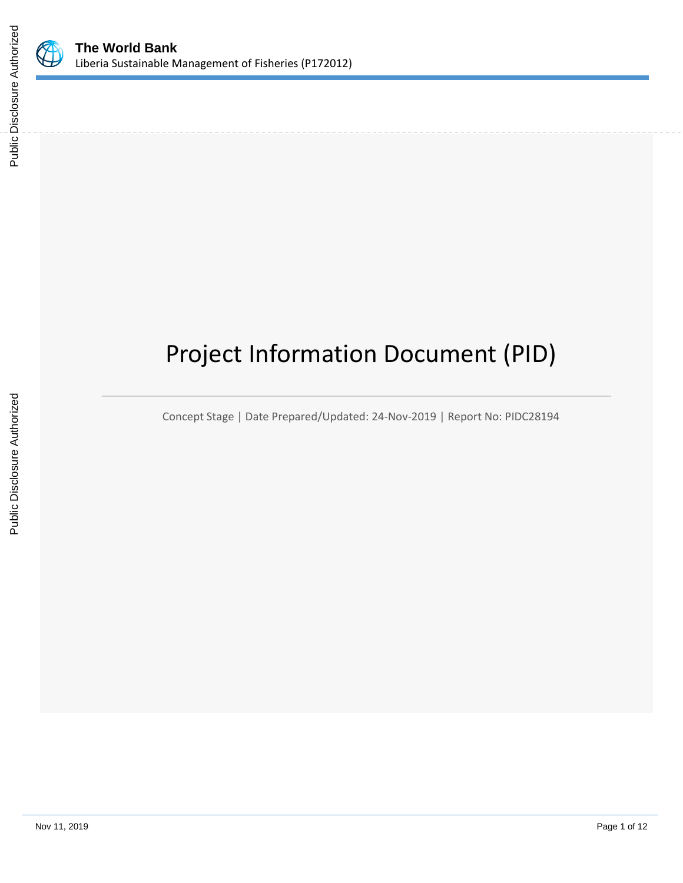

# Project Information Document (PID)

Concept Stage | Date Prepared/Updated: 24-Nov-2019 | Report No: PIDC28194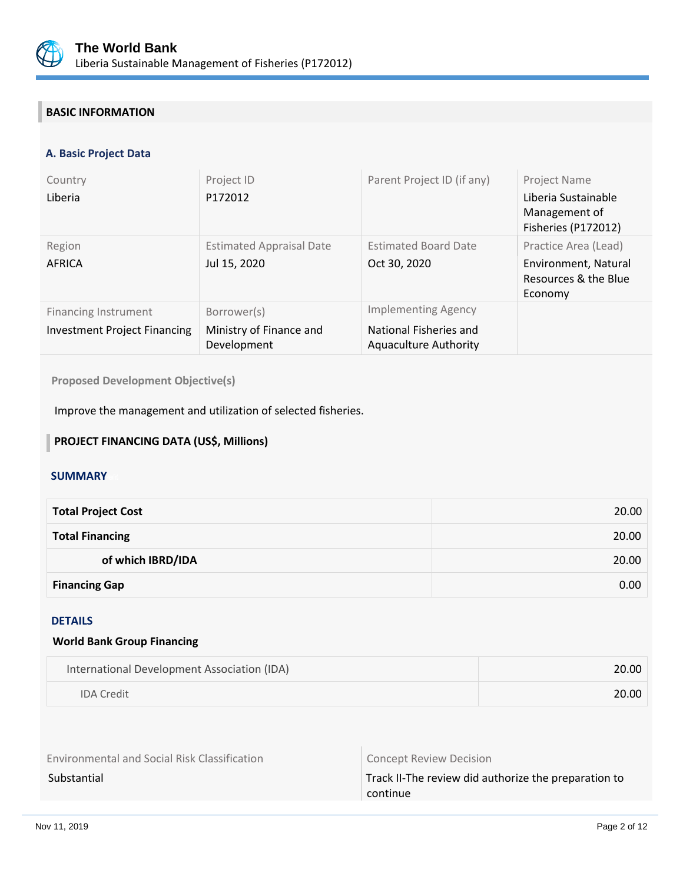

## **BASIC INFORMATION**

#### **A. Basic Project Data**

| Country<br>Liberia                                                 | Project ID<br>P172012                                 | Parent Project ID (if any)                                                           | Project Name<br>Liberia Sustainable<br>Management of<br>Fisheries (P172012)     |
|--------------------------------------------------------------------|-------------------------------------------------------|--------------------------------------------------------------------------------------|---------------------------------------------------------------------------------|
| Region<br>AFRICA                                                   | <b>Estimated Appraisal Date</b><br>Jul 15, 2020       | <b>Estimated Board Date</b><br>Oct 30, 2020                                          | Practice Area (Lead)<br>Environment, Natural<br>Resources & the Blue<br>Economy |
| <b>Financing Instrument</b><br><b>Investment Project Financing</b> | Borrower(s)<br>Ministry of Finance and<br>Development | <b>Implementing Agency</b><br>National Fisheries and<br><b>Aquaculture Authority</b> |                                                                                 |

**Proposed Development Objective(s)** 

Improve the management and utilization of selected fisheries.

### **PROJECT FINANCING DATA (US\$, Millions)**

#### **SUMMARY**

| <b>Total Project Cost</b> | 20.00 |
|---------------------------|-------|
| <b>Total Financing</b>    | 20.00 |
| of which IBRD/IDA         | 20.00 |
| <b>Financing Gap</b>      | 0.00  |

#### DETAILS

#### **World Bank Group Financing**

| International Development Association (IDA) | 20.00 |
|---------------------------------------------|-------|
| <b>IDA Credit</b>                           | 20.00 |

Environmental and Social Risk Classification **Concept Review Decision** 

Substantial Substantial Track II-The review did authorize the preparation to continue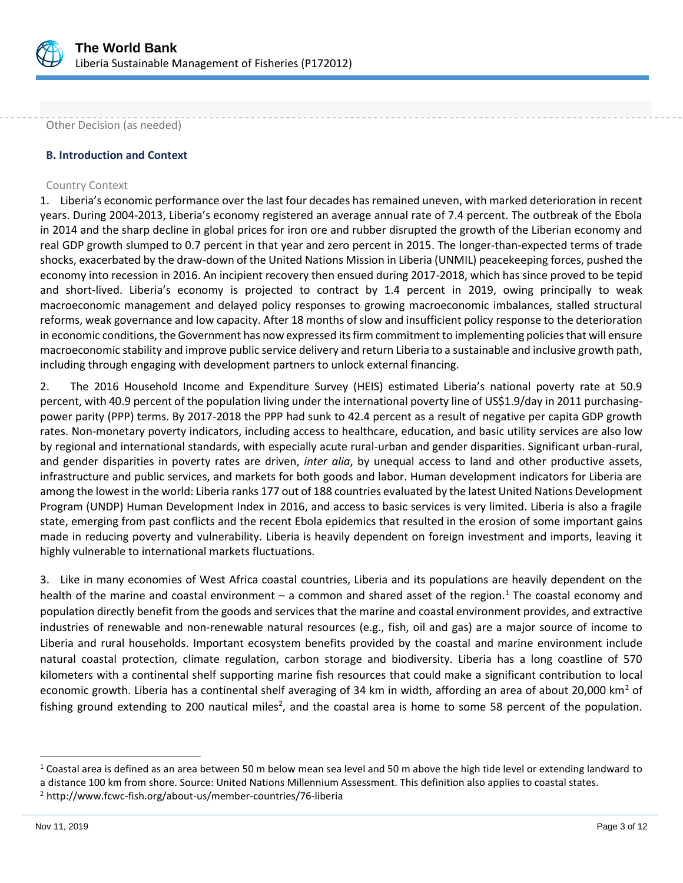

Other Decision (as needed)

#### **B. Introduction and Context**

#### Country Context

1. Liberia's economic performance over the last four decades has remained uneven, with marked deterioration in recent years. During 2004-2013, Liberia's economy registered an average annual rate of 7.4 percent. The outbreak of the Ebola in 2014 and the sharp decline in global prices for iron ore and rubber disrupted the growth of the Liberian economy and real GDP growth slumped to 0.7 percent in that year and zero percent in 2015. The longer-than-expected terms of trade shocks, exacerbated by the draw-down of the United Nations Mission in Liberia (UNMIL) peacekeeping forces, pushed the economy into recession in 2016. An incipient recovery then ensued during 2017-2018, which has since proved to be tepid and short-lived. Liberia's economy is projected to contract by 1.4 percent in 2019, owing principally to weak macroeconomic management and delayed policy responses to growing macroeconomic imbalances, stalled structural reforms, weak governance and low capacity. After 18 months of slow and insufficient policy response to the deterioration in economic conditions, the Government has now expressed its firm commitment to implementing policies that will ensure macroeconomic stability and improve public service delivery and return Liberia to a sustainable and inclusive growth path, including through engaging with development partners to unlock external financing.

2. The 2016 Household Income and Expenditure Survey (HEIS) estimated Liberia's national poverty rate at 50.9 percent, with 40.9 percent of the population living under the international poverty line of US\$1.9/day in 2011 purchasingpower parity (PPP) terms. By 2017-2018 the PPP had sunk to 42.4 percent as a result of negative per capita GDP growth rates. Non-monetary poverty indicators, including access to healthcare, education, and basic utility services are also low by regional and international standards, with especially acute rural-urban and gender disparities. Significant urban-rural, and gender disparities in poverty rates are driven, *inter alia*, by unequal access to land and other productive assets, infrastructure and public services, and markets for both goods and labor. Human development indicators for Liberia are among the lowest in the world: Liberia ranks 177 out of 188 countries evaluated by the latest United Nations Development Program (UNDP) Human Development Index in 2016, and access to basic services is very limited. Liberia is also a fragile state, emerging from past conflicts and the recent Ebola epidemics that resulted in the erosion of some important gains made in reducing poverty and vulnerability. Liberia is heavily dependent on foreign investment and imports, leaving it highly vulnerable to international markets fluctuations.

3. Like in many economies of West Africa coastal countries, Liberia and its populations are heavily dependent on the health of the marine and coastal environment – a common and shared asset of the region.<sup>1</sup> The coastal economy and population directly benefit from the goods and services that the marine and coastal environment provides, and extractive industries of renewable and non-renewable natural resources (e.g., fish, oil and gas) are a major source of income to Liberia and rural households. Important ecosystem benefits provided by the coastal and marine environment include natural coastal protection, climate regulation, carbon storage and biodiversity. Liberia has a long coastline of 570 kilometers with a continental shelf supporting marine fish resources that could make a significant contribution to local economic growth. Liberia has a continental shelf averaging of 34 km in width, affording an area of about 20,000 km<sup>2</sup> of fishing ground extending to 200 nautical miles<sup>2</sup>, and the coastal area is home to some 58 percent of the population.

 $1$  Coastal area is defined as an area between 50 m below mean sea level and 50 m above the high tide level or extending landward to a distance 100 km from shore. Source: United Nations Millennium Assessment. This definition also applies to coastal states.

<sup>2</sup> http://www.fcwc-fish.org/about-us/member-countries/76-liberia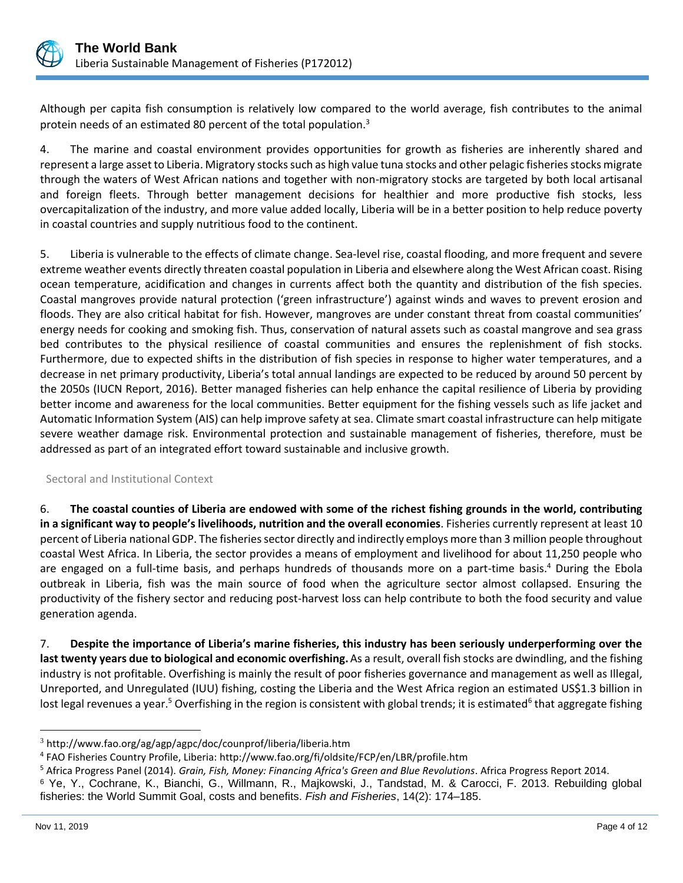

Although per capita fish consumption is relatively low compared to the world average, fish contributes to the animal protein needs of an estimated 80 percent of the total population.<sup>3</sup>

4. The marine and coastal environment provides opportunities for growth as fisheries are inherently shared and represent a large asset to Liberia. Migratory stocks such as high value tuna stocks and other pelagic fisheries stocks migrate through the waters of West African nations and together with non-migratory stocks are targeted by both local artisanal and foreign fleets. Through better management decisions for healthier and more productive fish stocks, less overcapitalization of the industry, and more value added locally, Liberia will be in a better position to help reduce poverty in coastal countries and supply nutritious food to the continent.

5. Liberia is vulnerable to the effects of climate change. Sea-level rise, coastal flooding, and more frequent and severe extreme weather events directly threaten coastal population in Liberia and elsewhere along the West African coast. Rising ocean temperature, acidification and changes in currents affect both the quantity and distribution of the fish species. Coastal mangroves provide natural protection ('green infrastructure') against winds and waves to prevent erosion and floods. They are also critical habitat for fish. However, mangroves are under constant threat from coastal communities' energy needs for cooking and smoking fish. Thus, conservation of natural assets such as coastal mangrove and sea grass bed contributes to the physical resilience of coastal communities and ensures the replenishment of fish stocks. Furthermore, due to expected shifts in the distribution of fish species in response to higher water temperatures, and a decrease in net primary productivity, Liberia's total annual landings are expected to be reduced by around 50 percent by the 2050s (IUCN Report, 2016). Better managed fisheries can help enhance the capital resilience of Liberia by providing better income and awareness for the local communities. Better equipment for the fishing vessels such as life jacket and Automatic Information System (AIS) can help improve safety at sea. Climate smart coastal infrastructure can help mitigate severe weather damage risk. Environmental protection and sustainable management of fisheries, therefore, must be addressed as part of an integrated effort toward sustainable and inclusive growth.

#### Sectoral and Institutional Context

6. **The coastal counties of Liberia are endowed with some of the richest fishing grounds in the world, contributing in a significant way to people's livelihoods, nutrition and the overall economies**. Fisheries currently represent at least 10 percent of Liberia national GDP. The fisheries sector directly and indirectly employs more than 3 million people throughout coastal West Africa. In Liberia, the sector provides a means of employment and livelihood for about 11,250 people who are engaged on a full-time basis, and perhaps hundreds of thousands more on a part-time basis.<sup>4</sup> During the Ebola outbreak in Liberia, fish was the main source of food when the agriculture sector almost collapsed. Ensuring the productivity of the fishery sector and reducing post-harvest loss can help contribute to both the food security and value generation agenda.

7. **Despite the importance of Liberia's marine fisheries, this industry has been seriously underperforming over the last twenty years due to biological and economic overfishing.**As a result, overall fish stocks are dwindling, and the fishing industry is not profitable. Overfishing is mainly the result of poor fisheries governance and management as well as Illegal, Unreported, and Unregulated (IUU) fishing, costing the Liberia and the West Africa region an estimated US\$1.3 billion in lost legal revenues a year.<sup>5</sup> Overfishing in the region is consistent with global trends; it is estimated<sup>6</sup> that aggregate fishing

<sup>3</sup> http://www.fao.org/ag/agp/agpc/doc/counprof/liberia/liberia.htm

<sup>4</sup> FAO Fisheries Country Profile, Liberia:<http://www.fao.org/fi/oldsite/FCP/en/LBR/profile.htm>

<sup>5</sup> Africa Progress Panel (2014). *Grain, Fish, Money: Financing Africa's Green and Blue Revolutions*. Africa Progress Report 2014.

<sup>6</sup> Ye, Y., Cochrane, K., Bianchi, G., Willmann, R., Majkowski, J., Tandstad, M. & Carocci, F. 2013. Rebuilding global fisheries: the World Summit Goal, costs and benefits. *Fish and Fisheries*, 14(2): 174–185.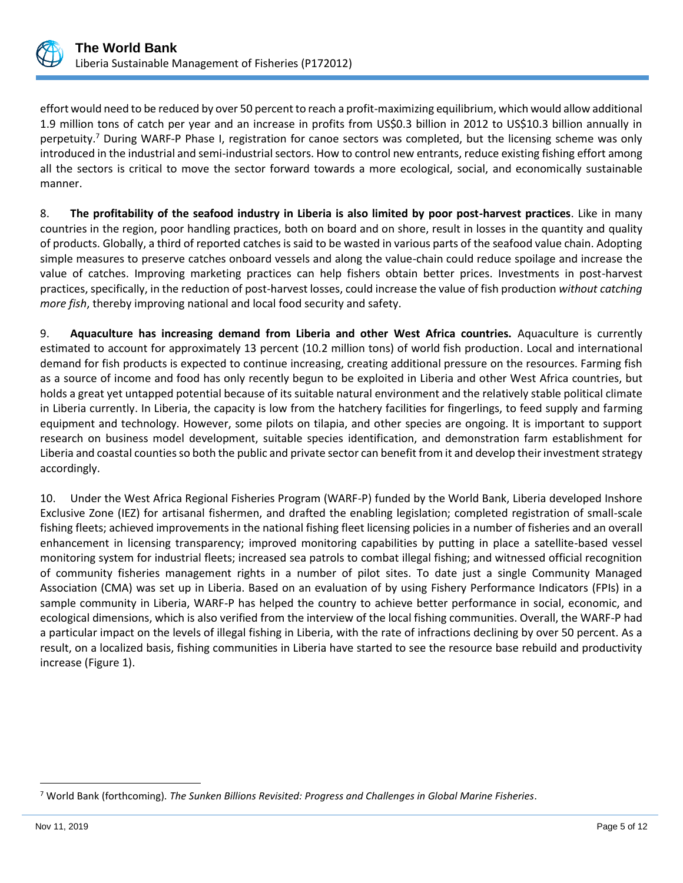

effort would need to be reduced by over 50 percent to reach a profit-maximizing equilibrium, which would allow additional 1.9 million tons of catch per year and an increase in profits from US\$0.3 billion in 2012 to US\$10.3 billion annually in perpetuity.<sup>7</sup> During WARF-P Phase I, registration for canoe sectors was completed, but the licensing scheme was only introduced in the industrial and semi-industrial sectors. How to control new entrants, reduce existing fishing effort among all the sectors is critical to move the sector forward towards a more ecological, social, and economically sustainable manner.

8. **The profitability of the seafood industry in Liberia is also limited by poor post-harvest practices**. Like in many countries in the region, poor handling practices, both on board and on shore, result in losses in the quantity and quality of products. Globally, a third of reported catches is said to be wasted in various parts of the seafood value chain. Adopting simple measures to preserve catches onboard vessels and along the value-chain could reduce spoilage and increase the value of catches. Improving marketing practices can help fishers obtain better prices. Investments in post-harvest practices, specifically, in the reduction of post-harvest losses, could increase the value of fish production *without catching more fish*, thereby improving national and local food security and safety.

9. **Aquaculture has increasing demand from Liberia and other West Africa countries.** Aquaculture is currently estimated to account for approximately 13 percent (10.2 million tons) of world fish production. Local and international demand for fish products is expected to continue increasing, creating additional pressure on the resources. Farming fish as a source of income and food has only recently begun to be exploited in Liberia and other West Africa countries, but holds a great yet untapped potential because of its suitable natural environment and the relatively stable political climate in Liberia currently. In Liberia, the capacity is low from the hatchery facilities for fingerlings, to feed supply and farming equipment and technology. However, some pilots on tilapia, and other species are ongoing. It is important to support research on business model development, suitable species identification, and demonstration farm establishment for Liberia and coastal counties so both the public and private sector can benefit from it and develop their investment strategy accordingly.

10. Under the West Africa Regional Fisheries Program (WARF-P) funded by the World Bank, Liberia developed Inshore Exclusive Zone (IEZ) for artisanal fishermen, and drafted the enabling legislation; completed registration of small-scale fishing fleets; achieved improvements in the national fishing fleet licensing policies in a number of fisheries and an overall enhancement in licensing transparency; improved monitoring capabilities by putting in place a satellite-based vessel monitoring system for industrial fleets; increased sea patrols to combat illegal fishing; and witnessed official recognition of community fisheries management rights in a number of pilot sites. To date just a single Community Managed Association (CMA) was set up in Liberia. Based on an evaluation of by using Fishery Performance Indicators (FPIs) in a sample community in Liberia, WARF-P has helped the country to achieve better performance in social, economic, and ecological dimensions, which is also verified from the interview of the local fishing communities. Overall, the WARF-P had a particular impact on the levels of illegal fishing in Liberia, with the rate of infractions declining by over 50 percent. As a result, on a localized basis, fishing communities in Liberia have started to see the resource base rebuild and productivity increase (Figure 1).

<sup>7</sup> World Bank (forthcoming). *The Sunken Billions Revisited: Progress and Challenges in Global Marine Fisheries*.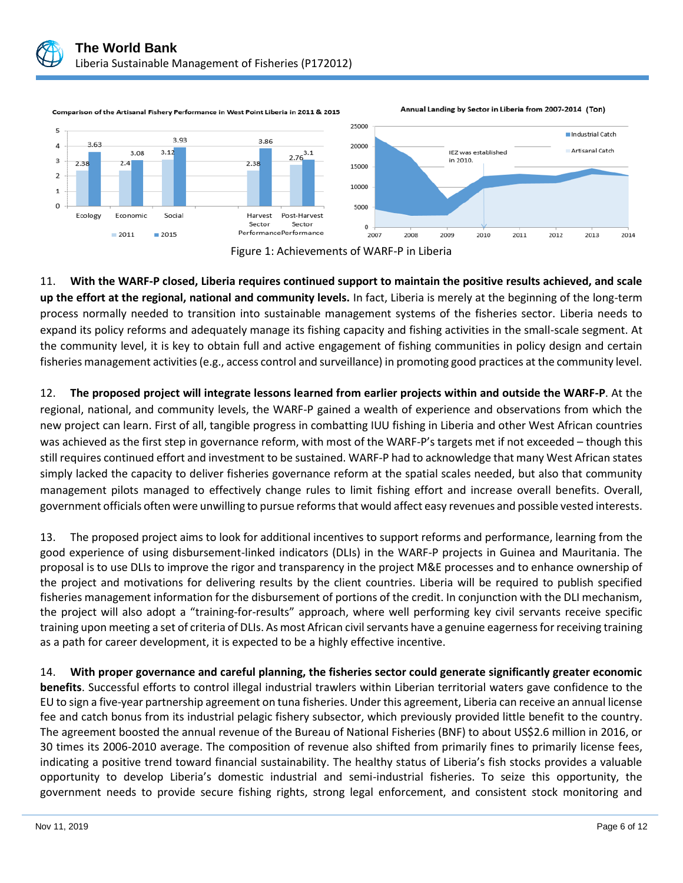

Comparison of the Artisanal Fishery Performance in West Point Liberia in 2011 & 2015





11. **With the WARF-P closed, Liberia requires continued support to maintain the positive results achieved, and scale up the effort at the regional, national and community levels.** In fact, Liberia is merely at the beginning of the long-term process normally needed to transition into sustainable management systems of the fisheries sector. Liberia needs to expand its policy reforms and adequately manage its fishing capacity and fishing activities in the small-scale segment. At the community level, it is key to obtain full and active engagement of fishing communities in policy design and certain fisheries management activities (e.g., access control and surveillance) in promoting good practices at the community level.

12. **The proposed project will integrate lessons learned from earlier projects within and outside the WARF-P**. At the regional, national, and community levels, the WARF-P gained a wealth of experience and observations from which the new project can learn. First of all, tangible progress in combatting IUU fishing in Liberia and other West African countries was achieved as the first step in governance reform, with most of the WARF-P's targets met if not exceeded – though this still requires continued effort and investment to be sustained. WARF-P had to acknowledge that many West African states simply lacked the capacity to deliver fisheries governance reform at the spatial scales needed, but also that community management pilots managed to effectively change rules to limit fishing effort and increase overall benefits. Overall, government officials often were unwilling to pursue reforms that would affect easy revenues and possible vested interests.

13. The proposed project aims to look for additional incentives to support reforms and performance, learning from the good experience of using disbursement-linked indicators (DLIs) in the WARF-P projects in Guinea and Mauritania. The proposal is to use DLIs to improve the rigor and transparency in the project M&E processes and to enhance ownership of the project and motivations for delivering results by the client countries. Liberia will be required to publish specified fisheries management information for the disbursement of portions of the credit. In conjunction with the DLI mechanism, the project will also adopt a "training-for-results" approach, where well performing key civil servants receive specific training upon meeting a set of criteria of DLIs. As most African civil servants have a genuine eagerness for receiving training as a path for career development, it is expected to be a highly effective incentive.

14. **With proper governance and careful planning, the fisheries sector could generate significantly greater economic benefits**. Successful efforts to control illegal industrial trawlers within Liberian territorial waters gave confidence to the EU to sign a five-year partnership agreement on tuna fisheries. Under this agreement, Liberia can receive an annual license fee and catch bonus from its industrial pelagic fishery subsector, which previously provided little benefit to the country. The agreement boosted the annual revenue of the Bureau of National Fisheries (BNF) to about US\$2.6 million in 2016, or 30 times its 2006-2010 average. The composition of revenue also shifted from primarily fines to primarily license fees, indicating a positive trend toward financial sustainability. The healthy status of Liberia's fish stocks provides a valuable opportunity to develop Liberia's domestic industrial and semi-industrial fisheries. To seize this opportunity, the government needs to provide secure fishing rights, strong legal enforcement, and consistent stock monitoring and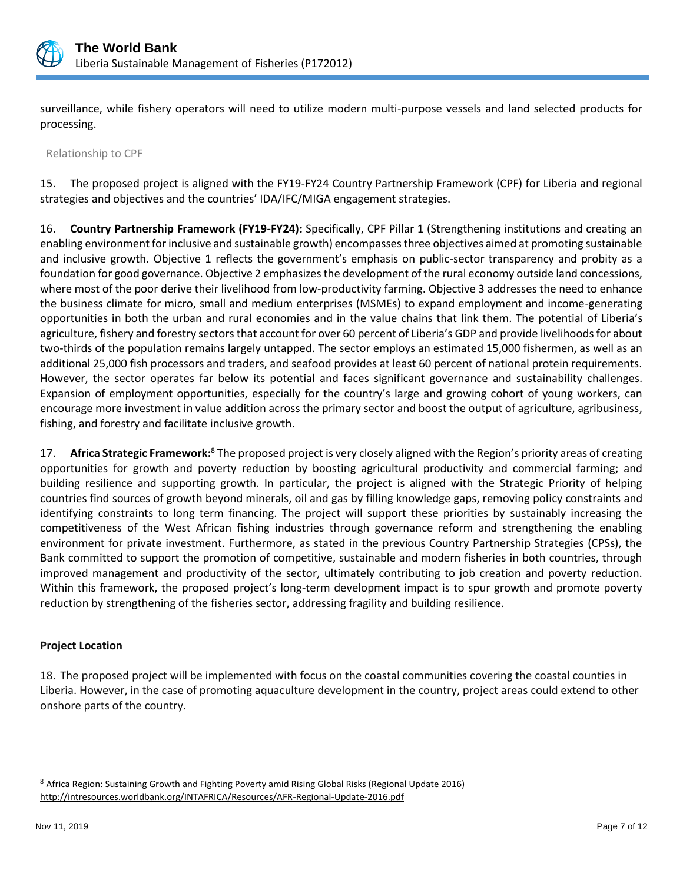

surveillance, while fishery operators will need to utilize modern multi-purpose vessels and land selected products for processing.

Relationship to CPF

15. The proposed project is aligned with the FY19-FY24 Country Partnership Framework (CPF) for Liberia and regional strategies and objectives and the countries' IDA/IFC/MIGA engagement strategies.

16. **Country Partnership Framework (FY19-FY24):** Specifically, CPF Pillar 1 (Strengthening institutions and creating an enabling environment for inclusive and sustainable growth) encompasses three objectives aimed at promoting sustainable and inclusive growth. Objective 1 reflects the government's emphasis on public-sector transparency and probity as a foundation for good governance. Objective 2 emphasizes the development of the rural economy outside land concessions, where most of the poor derive their livelihood from low-productivity farming. Objective 3 addresses the need to enhance the business climate for micro, small and medium enterprises (MSMEs) to expand employment and income-generating opportunities in both the urban and rural economies and in the value chains that link them. The potential of Liberia's agriculture, fishery and forestry sectors that account for over 60 percent of Liberia's GDP and provide livelihoods for about two-thirds of the population remains largely untapped. The sector employs an estimated 15,000 fishermen, as well as an additional 25,000 fish processors and traders, and seafood provides at least 60 percent of national protein requirements. However, the sector operates far below its potential and faces significant governance and sustainability challenges. Expansion of employment opportunities, especially for the country's large and growing cohort of young workers, can encourage more investment in value addition across the primary sector and boost the output of agriculture, agribusiness, fishing, and forestry and facilitate inclusive growth.

17. **Africa Strategic Framework:**<sup>8</sup> The proposed project is very closely aligned with the Region's priority areas of creating opportunities for growth and poverty reduction by boosting agricultural productivity and commercial farming; and building resilience and supporting growth. In particular, the project is aligned with the Strategic Priority of helping countries find sources of growth beyond minerals, oil and gas by filling knowledge gaps, removing policy constraints and identifying constraints to long term financing. The project will support these priorities by sustainably increasing the competitiveness of the West African fishing industries through governance reform and strengthening the enabling environment for private investment. Furthermore, as stated in the previous Country Partnership Strategies (CPSs), the Bank committed to support the promotion of competitive, sustainable and modern fisheries in both countries, through improved management and productivity of the sector, ultimately contributing to job creation and poverty reduction. Within this framework, the proposed project's long-term development impact is to spur growth and promote poverty reduction by strengthening of the fisheries sector, addressing fragility and building resilience.

#### **Project Location**

18. The proposed project will be implemented with focus on the coastal communities covering the coastal counties in Liberia. However, in the case of promoting aquaculture development in the country, project areas could extend to other onshore parts of the country.

<sup>8</sup> Africa Region: Sustaining Growth and Fighting Poverty amid Rising Global Risks (Regional Update 2016) http://intresources.worldbank.org/INTAFRICA/Resources/AFR-Regional-Update-2016.pdf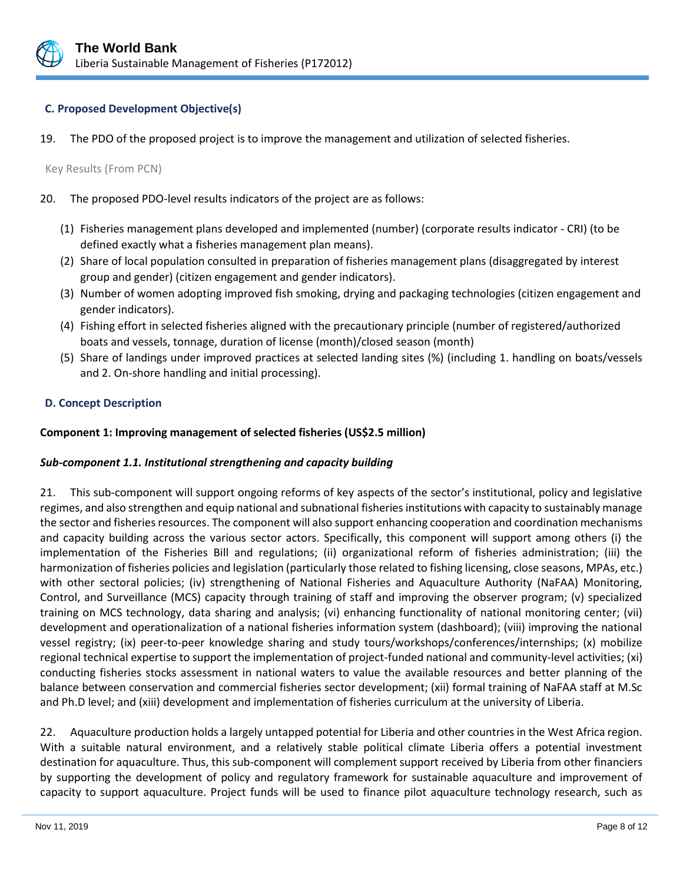

#### **C. Proposed Development Objective(s)**

19. The PDO of the proposed project is to improve the management and utilization of selected fisheries.

Key Results (From PCN)

- 20. The proposed PDO-level results indicators of the project are as follows:
	- (1) Fisheries management plans developed and implemented (number) (corporate results indicator CRI) (to be defined exactly what a fisheries management plan means).
	- (2) Share of local population consulted in preparation of fisheries management plans (disaggregated by interest group and gender) (citizen engagement and gender indicators).
	- (3) Number of women adopting improved fish smoking, drying and packaging technologies (citizen engagement and gender indicators).
	- (4) Fishing effort in selected fisheries aligned with the precautionary principle (number of registered/authorized boats and vessels, tonnage, duration of license (month)/closed season (month)
	- (5) Share of landings under improved practices at selected landing sites (%) (including 1. handling on boats/vessels and 2. On-shore handling and initial processing).

#### **D. Concept Description**

#### **Component 1: Improving management of selected fisheries (US\$2.5 million)**

#### *Sub-component 1.1. Institutional strengthening and capacity building*

21. This sub-component will support ongoing reforms of key aspects of the sector's institutional, policy and legislative regimes, and also strengthen and equip national and subnational fisheries institutions with capacity to sustainably manage the sector and fisheries resources. The component will also support enhancing cooperation and coordination mechanisms and capacity building across the various sector actors. Specifically, this component will support among others (i) the implementation of the Fisheries Bill and regulations; (ii) organizational reform of fisheries administration; (iii) the harmonization of fisheries policies and legislation (particularly those related to fishing licensing, close seasons, MPAs, etc.) with other sectoral policies; (iv) strengthening of National Fisheries and Aquaculture Authority (NaFAA) Monitoring, Control, and Surveillance (MCS) capacity through training of staff and improving the observer program; (v) specialized training on MCS technology, data sharing and analysis; (vi) enhancing functionality of national monitoring center; (vii) development and operationalization of a national fisheries information system (dashboard); (viii) improving the national vessel registry; (ix) peer-to-peer knowledge sharing and study tours/workshops/conferences/internships; (x) mobilize regional technical expertise to support the implementation of project-funded national and community-level activities; (xi) conducting fisheries stocks assessment in national waters to value the available resources and better planning of the balance between conservation and commercial fisheries sector development; (xii) formal training of NaFAA staff at M.Sc and Ph.D level; and (xiii) development and implementation of fisheries curriculum at the university of Liberia.

22. Aquaculture production holds a largely untapped potential for Liberia and other countries in the West Africa region. With a suitable natural environment, and a relatively stable political climate Liberia offers a potential investment destination for aquaculture. Thus, this sub-component will complement support received by Liberia from other financiers by supporting the development of policy and regulatory framework for sustainable aquaculture and improvement of capacity to support aquaculture. Project funds will be used to finance pilot aquaculture technology research, such as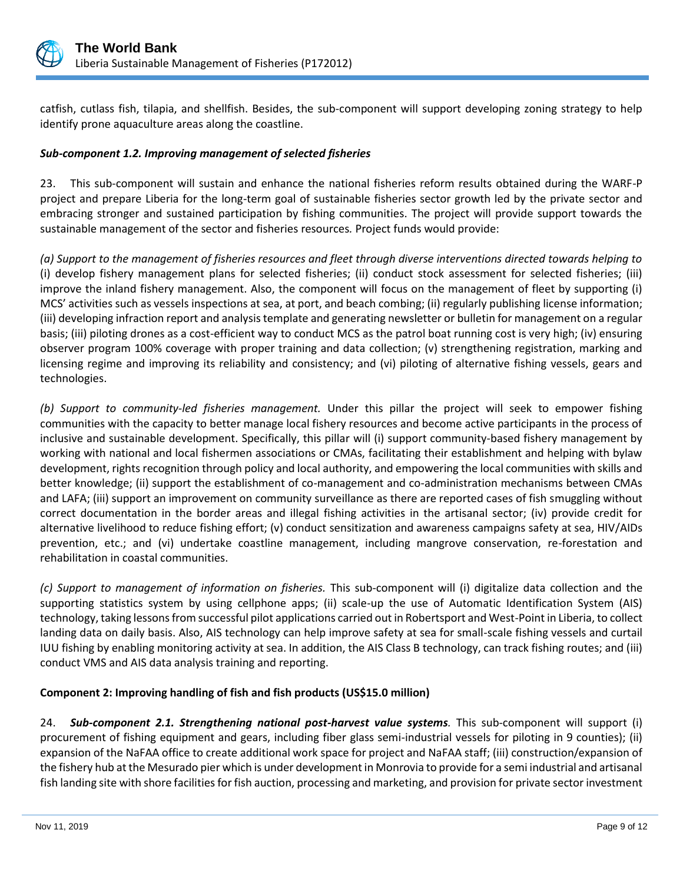

catfish, cutlass fish, tilapia, and shellfish. Besides, the sub-component will support developing zoning strategy to help identify prone aquaculture areas along the coastline.

### *Sub-component 1.2. Improving management of selected fisheries*

23. This sub-component will sustain and enhance the national fisheries reform results obtained during the WARF-P project and prepare Liberia for the long-term goal of sustainable fisheries sector growth led by the private sector and embracing stronger and sustained participation by fishing communities. The project will provide support towards the sustainable management of the sector and fisheries resources*.* Project funds would provide:

*(a) Support to the management of fisheries resources and fleet through diverse interventions directed towards helping to* (i) develop fishery management plans for selected fisheries; (ii) conduct stock assessment for selected fisheries; (iii) improve the inland fishery management. Also, the component will focus on the management of fleet by supporting (i) MCS' activities such as vessels inspections at sea, at port, and beach combing; (ii) regularly publishing license information; (iii) developing infraction report and analysis template and generating newsletter or bulletin for management on a regular basis; (iii) piloting drones as a cost-efficient way to conduct MCS as the patrol boat running cost is very high; (iv) ensuring observer program 100% coverage with proper training and data collection; (v) strengthening registration, marking and licensing regime and improving its reliability and consistency; and (vi) piloting of alternative fishing vessels, gears and technologies.

*(b) Support to community-led fisheries management.* Under this pillar the project will seek to empower fishing communities with the capacity to better manage local fishery resources and become active participants in the process of inclusive and sustainable development. Specifically, this pillar will (i) support community-based fishery management by working with national and local fishermen associations or CMAs, facilitating their establishment and helping with bylaw development, rights recognition through policy and local authority, and empowering the local communities with skills and better knowledge; (ii) support the establishment of co-management and co-administration mechanisms between CMAs and LAFA; (iii) support an improvement on community surveillance as there are reported cases of fish smuggling without correct documentation in the border areas and illegal fishing activities in the artisanal sector; (iv) provide credit for alternative livelihood to reduce fishing effort; (v) conduct sensitization and awareness campaigns safety at sea, HIV/AIDs prevention, etc.; and (vi) undertake coastline management, including mangrove conservation, re-forestation and rehabilitation in coastal communities.

*(c) Support to management of information on fisheries.* This sub-component will (i) digitalize data collection and the supporting statistics system by using cellphone apps; (ii) scale-up the use of Automatic Identification System (AIS) technology, taking lessons from successful pilot applications carried out in Robertsport and West-Point in Liberia, to collect landing data on daily basis. Also, AIS technology can help improve safety at sea for small-scale fishing vessels and curtail IUU fishing by enabling monitoring activity at sea. In addition, the AIS Class B technology, can track fishing routes; and (iii) conduct VMS and AIS data analysis training and reporting.

#### **Component 2: Improving handling of fish and fish products (US\$15.0 million)**

24. *Sub-component 2.1. Strengthening national post-harvest value systems.* This sub-component will support (i) procurement of fishing equipment and gears, including fiber glass semi-industrial vessels for piloting in 9 counties); (ii) expansion of the NaFAA office to create additional work space for project and NaFAA staff; (iii) construction/expansion of the fishery hub at the Mesurado pier which is under development in Monrovia to provide for a semi industrial and artisanal fish landing site with shore facilities for fish auction, processing and marketing, and provision for private sector investment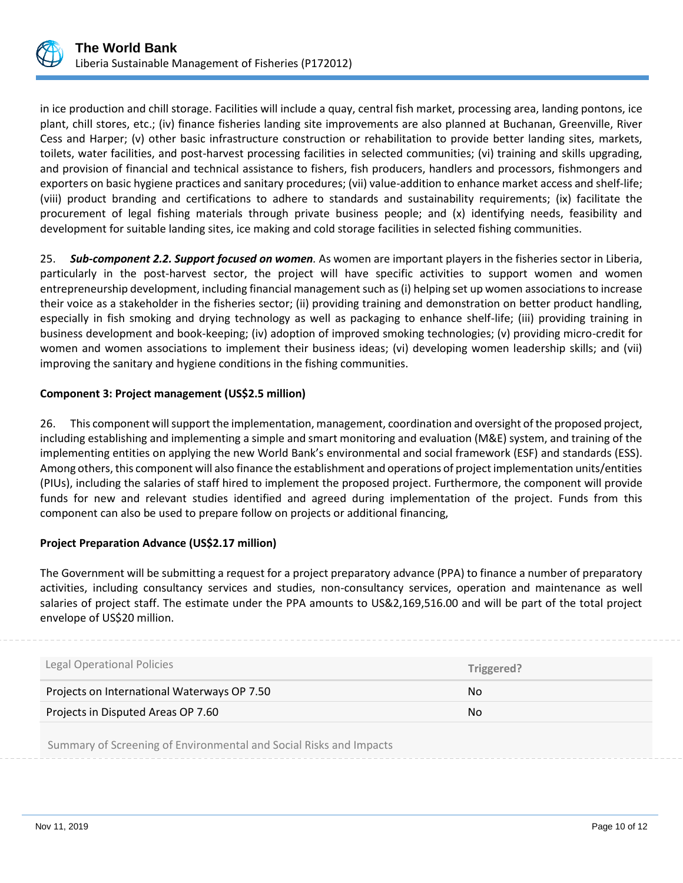

in ice production and chill storage. Facilities will include a quay, central fish market, processing area, landing pontons, ice plant, chill stores, etc.; (iv) finance fisheries landing site improvements are also planned at Buchanan, Greenville, River Cess and Harper; (v) other basic infrastructure construction or rehabilitation to provide better landing sites, markets, toilets, water facilities, and post-harvest processing facilities in selected communities; (vi) training and skills upgrading, and provision of financial and technical assistance to fishers, fish producers, handlers and processors, fishmongers and exporters on basic hygiene practices and sanitary procedures; (vii) value-addition to enhance market access and shelf-life; (viii) product branding and certifications to adhere to standards and sustainability requirements; (ix) facilitate the procurement of legal fishing materials through private business people; and (x) identifying needs, feasibility and development for suitable landing sites, ice making and cold storage facilities in selected fishing communities.

25. *Sub-component 2.2. Support focused on women.* As women are important players in the fisheries sector in Liberia, particularly in the post-harvest sector, the project will have specific activities to support women and women entrepreneurship development, including financial management such as (i) helping set up women associations to increase their voice as a stakeholder in the fisheries sector; (ii) providing training and demonstration on better product handling, especially in fish smoking and drying technology as well as packaging to enhance shelf-life; (iii) providing training in business development and book-keeping; (iv) adoption of improved smoking technologies; (v) providing micro-credit for women and women associations to implement their business ideas; (vi) developing women leadership skills; and (vii) improving the sanitary and hygiene conditions in the fishing communities.

#### **Component 3: Project management (US\$2.5 million)**

26. This component will support the implementation, management, coordination and oversight of the proposed project, including establishing and implementing a simple and smart monitoring and evaluation (M&E) system, and training of the implementing entities on applying the new World Bank's environmental and social framework (ESF) and standards (ESS). Among others, this component will also finance the establishment and operations of project implementation units/entities (PIUs), including the salaries of staff hired to implement the proposed project. Furthermore, the component will provide funds for new and relevant studies identified and agreed during implementation of the project. Funds from this component can also be used to prepare follow on projects or additional financing,

#### **Project Preparation Advance (US\$2.17 million)**

The Government will be submitting a request for a project preparatory advance (PPA) to finance a number of preparatory activities, including consultancy services and studies, non-consultancy services, operation and maintenance as well salaries of project staff. The estimate under the PPA amounts to US&2,169,516.00 and will be part of the total project envelope of US\$20 million.

| Legal Operational Policies                                         | Triggered? |
|--------------------------------------------------------------------|------------|
| Projects on International Waterways OP 7.50                        | No         |
| Projects in Disputed Areas OP 7.60                                 | <b>No</b>  |
| Summary of Screening of Environmental and Social Risks and Impacts |            |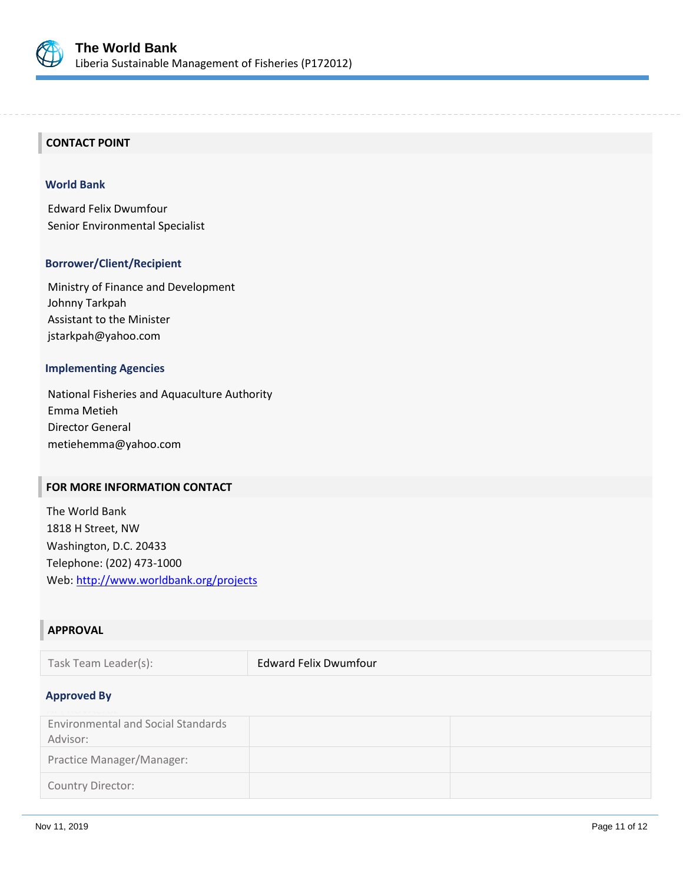

#### **CONTACT POINT**

#### **World Bank**

Edward Felix Dwumfour Senior Environmental Specialist

#### **Borrower/Client/Recipient**

Ministry of Finance and Development Johnny Tarkpah Assistant to the Minister jstarkpah@yahoo.com

#### **Implementing Agencies**

National Fisheries and Aquaculture Authority Emma Metieh Director General metiehemma@yahoo.com

# **FOR MORE INFORMATION CONTACT**

The World Bank 1818 H Street, NW Washington, D.C. 20433 Telephone: (202) 473-1000 Web:<http://www.worldbank.org/projects>

#### **APPROVAL**

Task Team Leader(s): Edward Felix Dwumfour

#### **Approved By**

| <b>Environmental and Social Standards</b><br>Advisor: |  |
|-------------------------------------------------------|--|
| Practice Manager/Manager:                             |  |
| Country Director:                                     |  |